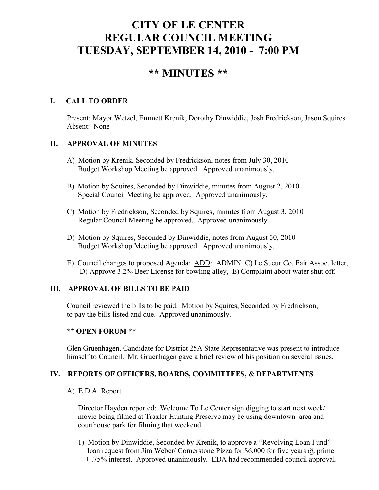# **CITY OF LE CENTER REGULAR COUNCIL MEETING TUESDAY, SEPTEMBER 14, 2010 - 7:00 PM**

## **\*\* MINUTES \*\***

## **I. CALL TO ORDER**

Present: Mayor Wetzel, Emmett Krenik, Dorothy Dinwiddie, Josh Fredrickson, Jason Squires Absent: None

## **II. APPROVAL OF MINUTES**

- A) Motion by Krenik, Seconded by Fredrickson, notes from July 30, 2010 Budget Workshop Meeting be approved. Approved unanimously.
- B) Motion by Squires, Seconded by Dinwiddie, minutes from August 2, 2010 Special Council Meeting be approved. Approved unanimously.
- C) Motion by Fredrickson, Seconded by Squires, minutes from August 3, 2010 Regular Council Meeting be approved. Approved unanimously.
- D) Motion by Squires, Seconded by Dinwiddie, notes from August 30, 2010 Budget Workshop Meeting be approved. Approved unanimously.
- E) Council changes to proposed Agenda: ADD: ADMIN. C) Le Sueur Co. Fair Assoc. letter, D) Approve 3.2% Beer License for bowling alley, E) Complaint about water shut off.

## **III. APPROVAL OF BILLS TO BE PAID**

Council reviewed the bills to be paid. Motion by Squires, Seconded by Fredrickson, to pay the bills listed and due. Approved unanimously.

#### **\*\* OPEN FORUM \*\***

Glen Gruenhagen, Candidate for District 25A State Representative was present to introduce himself to Council. Mr. Gruenhagen gave a brief review of his position on several issues.

## **IV. REPORTS OF OFFICERS, BOARDS, COMMITTEES, & DEPARTMENTS**

A) E.D.A. Report

 Director Hayden reported: Welcome To Le Center sign digging to start next week/ movie being filmed at Traxler Hunting Preserve may be using downtown area and courthouse park for filming that weekend.

 1) Motion by Dinwiddie, Seconded by Krenik, to approve a "Revolving Loan Fund" loan request from Jim Weber/ Cornerstone Pizza for \$6,000 for five years @ prime + .75% interest. Approved unanimously. EDA had recommended council approval.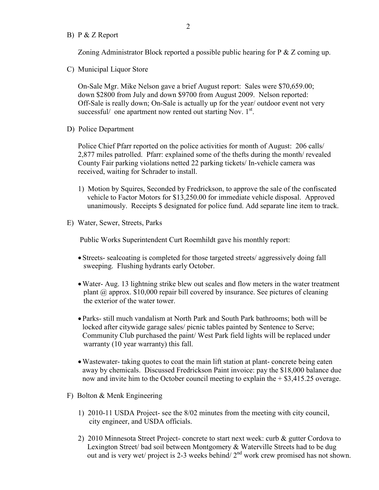B) P & Z Report

Zoning Administrator Block reported a possible public hearing for P & Z coming up.

C) Municipal Liquor Store

On-Sale Mgr. Mike Nelson gave a brief August report: Sales were \$70,659.00; down \$2800 from July and down \$9700 from August 2009. Nelson reported: Off-Sale is really down; On-Sale is actually up for the year/ outdoor event not very successful/ one apartment now rented out starting Nov. 1<sup>st</sup>.

D) Police Department

Police Chief Pfarr reported on the police activities for month of August: 206 calls/ 2,877 miles patrolled. Pfarr: explained some of the thefts during the month/ revealed County Fair parking violations netted 22 parking tickets/ In-vehicle camera was received, waiting for Schrader to install.

- 1) Motion by Squires, Seconded by Fredrickson, to approve the sale of the confiscated vehicle to Factor Motors for \$13,250.00 for immediate vehicle disposal. Approved unanimously. Receipts \$ designated for police fund. Add separate line item to track.
- E) Water, Sewer, Streets, Parks

Public Works Superintendent Curt Roemhildt gave his monthly report:

- Streets- sealcoating is completed for those targeted streets/ aggressively doing fall sweeping. Flushing hydrants early October.
- Water- Aug. 13 lightning strike blew out scales and flow meters in the water treatment plant @ approx. \$10,000 repair bill covered by insurance. See pictures of cleaning the exterior of the water tower.
- Parks- still much vandalism at North Park and South Park bathrooms; both will be locked after citywide garage sales/ picnic tables painted by Sentence to Serve; Community Club purchased the paint/ West Park field lights will be replaced under warranty (10 year warranty) this fall.
- Wastewater- taking quotes to coat the main lift station at plant- concrete being eaten away by chemicals. Discussed Fredrickson Paint invoice: pay the \$18,000 balance due now and invite him to the October council meeting to explain the + \$3,415.25 overage.
- F) Bolton & Menk Engineering
	- 1) 2010-11 USDA Project- see the 8/02 minutes from the meeting with city council, city engineer, and USDA officials.
	- 2) 2010 Minnesota Street Project- concrete to start next week: curb & gutter Cordova to Lexington Street/ bad soil between Montgomery & Waterville Streets had to be dug out and is very wet/ project is 2-3 weeks behind/  $2<sup>nd</sup>$  work crew promised has not shown.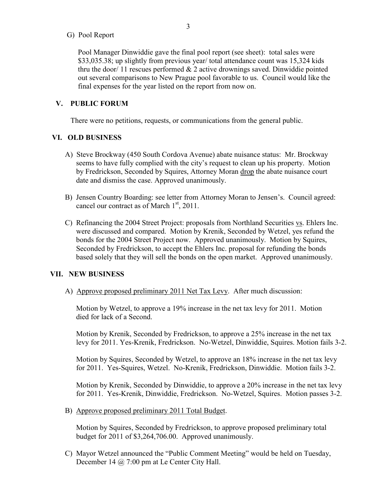#### G) Pool Report

 Pool Manager Dinwiddie gave the final pool report (see sheet): total sales were \$33,035.38; up slightly from previous year/ total attendance count was 15,324 kids thru the door/ 11 rescues performed  $& 2$  active drownings saved. Dinwiddie pointed out several comparisons to New Prague pool favorable to us. Council would like the final expenses for the year listed on the report from now on.

#### **V. PUBLIC FORUM**

There were no petitions, requests, or communications from the general public.

#### **VI. OLD BUSINESS**

- A) Steve Brockway (450 South Cordova Avenue) abate nuisance status: Mr. Brockway seems to have fully complied with the city's request to clean up his property. Motion by Fredrickson, Seconded by Squires, Attorney Moran drop the abate nuisance court date and dismiss the case. Approved unanimously.
- B) Jensen Country Boarding: see letter from Attorney Moran to Jensen's. Council agreed: cancel our contract as of March  $1<sup>st</sup>$ , 2011.
- C) Refinancing the 2004 Street Project: proposals from Northland Securities vs. Ehlers Inc. were discussed and compared. Motion by Krenik, Seconded by Wetzel, yes refund the bonds for the 2004 Street Project now. Approved unanimously. Motion by Squires, Seconded by Fredrickson, to accept the Ehlers Inc. proposal for refunding the bonds based solely that they will sell the bonds on the open market. Approved unanimously.

#### **VII. NEW BUSINESS**

A) Approve proposed preliminary 2011 Net Tax Levy. After much discussion:

 Motion by Wetzel, to approve a 19% increase in the net tax levy for 2011. Motion died for lack of a Second.

 Motion by Krenik, Seconded by Fredrickson, to approve a 25% increase in the net tax levy for 2011. Yes-Krenik, Fredrickson. No-Wetzel, Dinwiddie, Squires. Motion fails 3-2.

 Motion by Squires, Seconded by Wetzel, to approve an 18% increase in the net tax levy for 2011. Yes-Squires, Wetzel. No-Krenik, Fredrickson, Dinwiddie. Motion fails 3-2.

 Motion by Krenik, Seconded by Dinwiddie, to approve a 20% increase in the net tax levy for 2011. Yes-Krenik, Dinwiddie, Fredrickson. No-Wetzel, Squires. Motion passes 3-2.

B) Approve proposed preliminary 2011 Total Budget.

 Motion by Squires, Seconded by Fredrickson, to approve proposed preliminary total budget for 2011 of \$3,264,706.00. Approved unanimously.

 C) Mayor Wetzel announced the "Public Comment Meeting" would be held on Tuesday, December 14 @ 7:00 pm at Le Center City Hall.